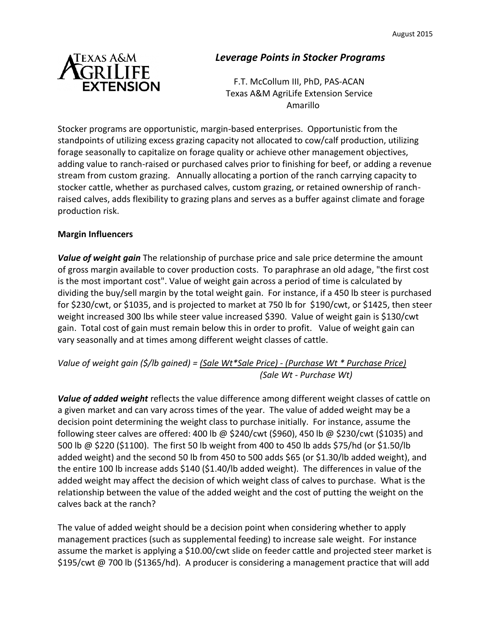

## *Leverage Points in Stocker Programs*

F.T. McCollum III, PhD, PAS-ACAN Texas A&M AgriLife Extension Service Amarillo

Stocker programs are opportunistic, margin-based enterprises. Opportunistic from the standpoints of utilizing excess grazing capacity not allocated to cow/calf production, utilizing forage seasonally to capitalize on forage quality or achieve other management objectives, adding value to ranch-raised or purchased calves prior to finishing for beef, or adding a revenue stream from custom grazing. Annually allocating a portion of the ranch carrying capacity to stocker cattle, whether as purchased calves, custom grazing, or retained ownership of ranchraised calves, adds flexibility to grazing plans and serves as a buffer against climate and forage production risk.

## **Margin Influencers**

*Value of weight gain* The relationship of purchase price and sale price determine the amount of gross margin available to cover production costs. To paraphrase an old adage, "the first cost is the most important cost". Value of weight gain across a period of time is calculated by dividing the buy/sell margin by the total weight gain. For instance, if a 450 lb steer is purchased for \$230/cwt, or \$1035, and is projected to market at 750 lb for \$190/cwt, or \$1425, then steer weight increased 300 lbs while steer value increased \$390. Value of weight gain is \$130/cwt gain. Total cost of gain must remain below this in order to profit. Value of weight gain can vary seasonally and at times among different weight classes of cattle.

## *Value of weight gain (\$/lb gained) = (Sale Wt\*Sale Price) - (Purchase Wt \* Purchase Price) (Sale Wt - Purchase Wt)*

*Value of added weight* reflects the value difference among different weight classes of cattle on a given market and can vary across times of the year. The value of added weight may be a decision point determining the weight class to purchase initially. For instance, assume the following steer calves are offered: 400 lb @ \$240/cwt (\$960), 450 lb @ \$230/cwt (\$1035) and 500 lb @ \$220 (\$1100). The first 50 lb weight from 400 to 450 lb adds \$75/hd (or \$1.50/lb added weight) and the second 50 lb from 450 to 500 adds \$65 (or \$1.30/lb added weight), and the entire 100 lb increase adds \$140 (\$1.40/lb added weight). The differences in value of the added weight may affect the decision of which weight class of calves to purchase. What is the relationship between the value of the added weight and the cost of putting the weight on the calves back at the ranch?

The value of added weight should be a decision point when considering whether to apply management practices (such as supplemental feeding) to increase sale weight. For instance assume the market is applying a \$10.00/cwt slide on feeder cattle and projected steer market is \$195/cwt @ 700 lb (\$1365/hd). A producer is considering a management practice that will add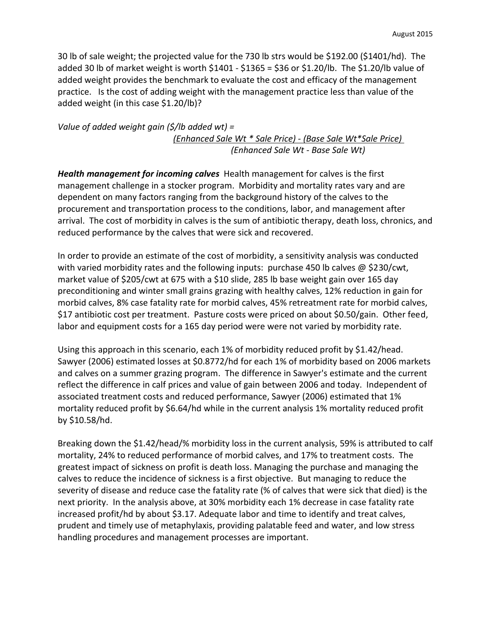30 lb of sale weight; the projected value for the 730 lb strs would be \$192.00 (\$1401/hd). The added 30 lb of market weight is worth \$1401 - \$1365 = \$36 or \$1.20/lb. The \$1.20/lb value of added weight provides the benchmark to evaluate the cost and efficacy of the management practice. Is the cost of adding weight with the management practice less than value of the added weight (in this case \$1.20/lb)?

*Value of added weight gain (\$/lb added wt) = (Enhanced Sale Wt \* Sale Price) - (Base Sale Wt\*Sale Price) (Enhanced Sale Wt - Base Sale Wt)*

*Health management for incoming calves* Health management for calves is the first management challenge in a stocker program. Morbidity and mortality rates vary and are dependent on many factors ranging from the background history of the calves to the procurement and transportation process to the conditions, labor, and management after arrival. The cost of morbidity in calves is the sum of antibiotic therapy, death loss, chronics, and reduced performance by the calves that were sick and recovered.

In order to provide an estimate of the cost of morbidity, a sensitivity analysis was conducted with varied morbidity rates and the following inputs: purchase 450 lb calves @ \$230/cwt, market value of \$205/cwt at 675 with a \$10 slide, 285 lb base weight gain over 165 day preconditioning and winter small grains grazing with healthy calves, 12% reduction in gain for morbid calves, 8% case fatality rate for morbid calves, 45% retreatment rate for morbid calves, \$17 antibiotic cost per treatment. Pasture costs were priced on about \$0.50/gain. Other feed, labor and equipment costs for a 165 day period were were not varied by morbidity rate.

Using this approach in this scenario, each 1% of morbidity reduced profit by \$1.42/head. Sawyer (2006) estimated losses at \$0.8772/hd for each 1% of morbidity based on 2006 markets and calves on a summer grazing program. The difference in Sawyer's estimate and the current reflect the difference in calf prices and value of gain between 2006 and today. Independent of associated treatment costs and reduced performance, Sawyer (2006) estimated that 1% mortality reduced profit by \$6.64/hd while in the current analysis 1% mortality reduced profit by \$10.58/hd.

Breaking down the \$1.42/head/% morbidity loss in the current analysis, 59% is attributed to calf mortality, 24% to reduced performance of morbid calves, and 17% to treatment costs. The greatest impact of sickness on profit is death loss. Managing the purchase and managing the calves to reduce the incidence of sickness is a first objective. But managing to reduce the severity of disease and reduce case the fatality rate (% of calves that were sick that died) is the next priority. In the analysis above, at 30% morbidity each 1% decrease in case fatality rate increased profit/hd by about \$3.17. Adequate labor and time to identify and treat calves, prudent and timely use of metaphylaxis, providing palatable feed and water, and low stress handling procedures and management processes are important.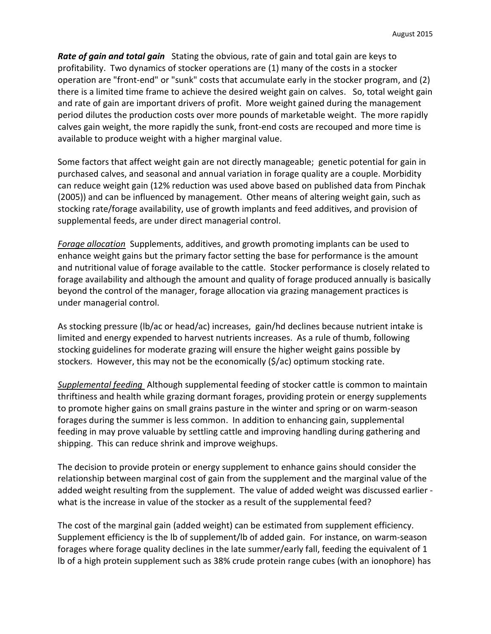*Rate of gain and total gain* Stating the obvious, rate of gain and total gain are keys to profitability. Two dynamics of stocker operations are (1) many of the costs in a stocker operation are "front-end" or "sunk" costs that accumulate early in the stocker program, and (2) there is a limited time frame to achieve the desired weight gain on calves. So, total weight gain and rate of gain are important drivers of profit. More weight gained during the management period dilutes the production costs over more pounds of marketable weight. The more rapidly calves gain weight, the more rapidly the sunk, front-end costs are recouped and more time is available to produce weight with a higher marginal value.

Some factors that affect weight gain are not directly manageable; genetic potential for gain in purchased calves, and seasonal and annual variation in forage quality are a couple. Morbidity can reduce weight gain (12% reduction was used above based on published data from Pinchak (2005)) and can be influenced by management. Other means of altering weight gain, such as stocking rate/forage availability, use of growth implants and feed additives, and provision of supplemental feeds, are under direct managerial control.

*Forage allocation* Supplements, additives, and growth promoting implants can be used to enhance weight gains but the primary factor setting the base for performance is the amount and nutritional value of forage available to the cattle. Stocker performance is closely related to forage availability and although the amount and quality of forage produced annually is basically beyond the control of the manager, forage allocation via grazing management practices is under managerial control.

As stocking pressure (lb/ac or head/ac) increases, gain/hd declines because nutrient intake is limited and energy expended to harvest nutrients increases. As a rule of thumb, following stocking guidelines for moderate grazing will ensure the higher weight gains possible by stockers. However, this may not be the economically (\$/ac) optimum stocking rate.

*Supplemental feeding* Although supplemental feeding of stocker cattle is common to maintain thriftiness and health while grazing dormant forages, providing protein or energy supplements to promote higher gains on small grains pasture in the winter and spring or on warm-season forages during the summer is less common. In addition to enhancing gain, supplemental feeding in may prove valuable by settling cattle and improving handling during gathering and shipping. This can reduce shrink and improve weighups.

The decision to provide protein or energy supplement to enhance gains should consider the relationship between marginal cost of gain from the supplement and the marginal value of the added weight resulting from the supplement. The value of added weight was discussed earlier what is the increase in value of the stocker as a result of the supplemental feed?

The cost of the marginal gain (added weight) can be estimated from supplement efficiency. Supplement efficiency is the lb of supplement/lb of added gain. For instance, on warm-season forages where forage quality declines in the late summer/early fall, feeding the equivalent of 1 lb of a high protein supplement such as 38% crude protein range cubes (with an ionophore) has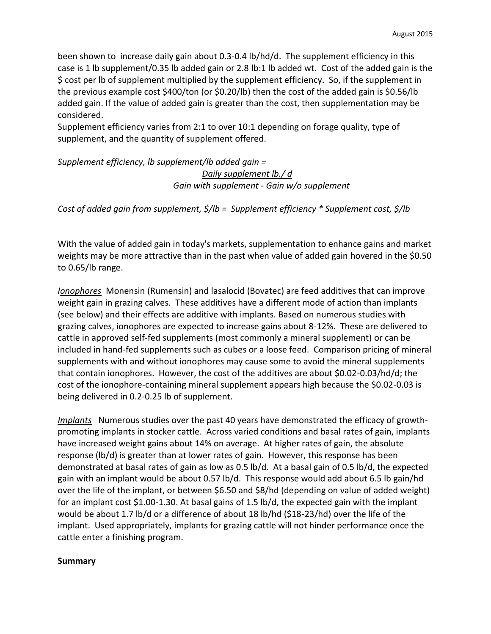been shown to increase daily gain about 0.3-0.4 lb/hd/d. The supplement efficiency in this case is 1 lb supplement/0.35 lb added gain or 2.8 lb:1 lb added wt. Cost of the added gain is the \$ cost per lb of supplement multiplied by the supplement efficiency. So, if the supplement in the previous example cost \$400/ton (or \$0.20/lb) then the cost of the added gain is \$0.56/lb added gain. If the value of added gain is greater than the cost, then supplementation may be considered.

Supplement efficiency varies from 2:1 to over 10:1 depending on forage quality, type of supplement, and the quantity of supplement offered.

*Supplement efficiency, lb supplement/lb added gain =* 

*Daily supplement lb./ d Gain with supplement - Gain w/o supplement*

*Cost of added gain from supplement, \$/lb = Supplement efficiency \* Supplement cost, \$/lb*

With the value of added gain in today's markets, supplementation to enhance gains and market weights may be more attractive than in the past when value of added gain hovered in the \$0.50 to 0.65/lb range.

*Ionophores* Monensin (Rumensin) and lasalocid (Bovatec) are feed additives that can improve weight gain in grazing calves. These additives have a different mode of action than implants (see below) and their effects are additive with implants. Based on numerous studies with grazing calves, ionophores are expected to increase gains about 8-12%. These are delivered to cattle in approved self-fed supplements (most commonly a mineral supplement) or can be included in hand-fed supplements such as cubes or a loose feed. Comparison pricing of mineral supplements with and without ionophores may cause some to avoid the mineral supplements that contain ionophores. However, the cost of the additives are about \$0.02-0.03/hd/d; the cost of the ionophore-containing mineral supplement appears high because the \$0.02-0.03 is being delivered in 0.2-0.25 lb of supplement.

*Implants* Numerous studies over the past 40 years have demonstrated the efficacy of growthpromoting implants in stocker cattle. Across varied conditions and basal rates of gain, implants have increased weight gains about 14% on average. At higher rates of gain, the absolute response (lb/d) is greater than at lower rates of gain. However, this response has been demonstrated at basal rates of gain as low as 0.5 lb/d. At a basal gain of 0.5 lb/d, the expected gain with an implant would be about 0.57 lb/d. This response would add about 6.5 lb gain/hd over the life of the implant, or between \$6.50 and \$8/hd (depending on value of added weight) for an implant cost \$1.00-1.30. At basal gains of 1.5 lb/d, the expected gain with the implant would be about 1.7 lb/d or a difference of about 18 lb/hd (\$18-23/hd) over the life of the implant. Used appropriately, implants for grazing cattle will not hinder performance once the cattle enter a finishing program.

## **Summary**